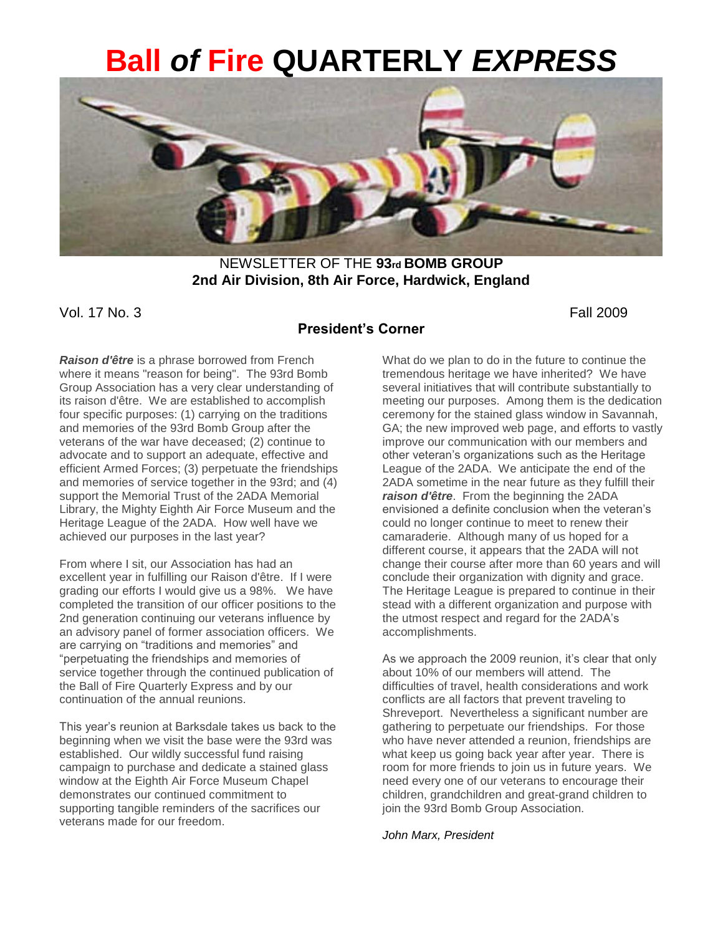# **Ball** *of* **Fire QUARTERLY** *EXPRESS*



NEWSLETTER OF THE **93rd BOMB GROUP 2nd Air Division, 8th Air Force, Hardwick, England** 

Vol. 17 No. 3 Fall 2009

### **President's Corner**

*Raison d'être* is a phrase borrowed from French where it means "reason for being". The 93rd Bomb Group Association has a very clear understanding of its raison d'être. We are established to accomplish four specific purposes: (1) carrying on the traditions and memories of the 93rd Bomb Group after the veterans of the war have deceased; (2) continue to advocate and to support an adequate, effective and efficient Armed Forces; (3) perpetuate the friendships and memories of service together in the 93rd; and (4) support the Memorial Trust of the 2ADA Memorial Library, the Mighty Eighth Air Force Museum and the Heritage League of the 2ADA. How well have we achieved our purposes in the last year?

From where I sit, our Association has had an excellent year in fulfilling our Raison d'être. If I were grading our efforts I would give us a 98%. We have completed the transition of our officer positions to the 2nd generation continuing our veterans influence by an advisory panel of former association officers. We are carrying on "traditions and memories" and "perpetuating the friendships and memories of service together through the continued publication of the Ball of Fire Quarterly Express and by our continuation of the annual reunions.

This year's reunion at Barksdale takes us back to the beginning when we visit the base were the 93rd was established. Our wildly successful fund raising campaign to purchase and dedicate a stained glass window at the Eighth Air Force Museum Chapel demonstrates our continued commitment to supporting tangible reminders of the sacrifices our veterans made for our freedom.

What do we plan to do in the future to continue the tremendous heritage we have inherited? We have several initiatives that will contribute substantially to meeting our purposes. Among them is the dedication ceremony for the stained glass window in Savannah, GA; the new improved web page, and efforts to vastly improve our communication with our members and other veteran's organizations such as the Heritage League of the 2ADA. We anticipate the end of the 2ADA sometime in the near future as they fulfill their *raison d'être*. From the beginning the 2ADA envisioned a definite conclusion when the veteran's could no longer continue to meet to renew their camaraderie. Although many of us hoped for a different course, it appears that the 2ADA will not change their course after more than 60 years and will conclude their organization with dignity and grace. The Heritage League is prepared to continue in their stead with a different organization and purpose with the utmost respect and regard for the 2ADA's accomplishments.

As we approach the 2009 reunion, it's clear that only about 10% of our members will attend. The difficulties of travel, health considerations and work conflicts are all factors that prevent traveling to Shreveport. Nevertheless a significant number are gathering to perpetuate our friendships. For those who have never attended a reunion, friendships are what keep us going back year after year. There is room for more friends to join us in future years. We need every one of our veterans to encourage their children, grandchildren and great-grand children to join the 93rd Bomb Group Association.

*John Marx, President*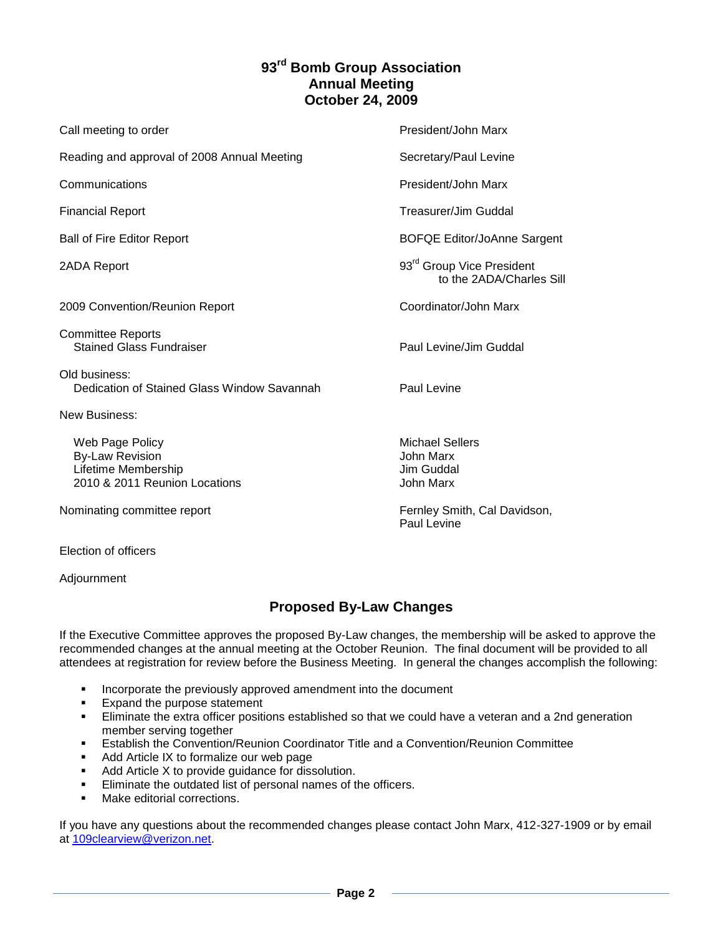### **93rd Bomb Group Association Annual Meeting October 24, 2009**

| Call meeting to order                                                                             | President/John Marx                                               |
|---------------------------------------------------------------------------------------------------|-------------------------------------------------------------------|
| Reading and approval of 2008 Annual Meeting                                                       | Secretary/Paul Levine                                             |
| Communications                                                                                    | President/John Marx                                               |
| <b>Financial Report</b>                                                                           | Treasurer/Jim Guddal                                              |
| <b>Ball of Fire Editor Report</b>                                                                 | <b>BOFQE Editor/JoAnne Sargent</b>                                |
| 2ADA Report                                                                                       | 93 <sup>rd</sup> Group Vice President<br>to the 2ADA/Charles Sill |
| 2009 Convention/Reunion Report                                                                    | Coordinator/John Marx                                             |
| <b>Committee Reports</b><br><b>Stained Glass Fundraiser</b>                                       | Paul Levine/Jim Guddal                                            |
| Old business:<br>Dedication of Stained Glass Window Savannah                                      | Paul Levine                                                       |
| <b>New Business:</b>                                                                              |                                                                   |
| Web Page Policy<br><b>By-Law Revision</b><br>Lifetime Membership<br>2010 & 2011 Reunion Locations | <b>Michael Sellers</b><br>John Marx<br>Jim Guddal<br>John Marx    |
| Nominating committee report                                                                       | Fernley Smith, Cal Davidson,<br>Paul Levine                       |
|                                                                                                   |                                                                   |

Election of officers

Adjournment

### **Proposed By-Law Changes**

If the Executive Committee approves the proposed By-Law changes, the membership will be asked to approve the recommended changes at the annual meeting at the October Reunion. The final document will be provided to all attendees at registration for review before the Business Meeting. In general the changes accomplish the following:

- **Incorporate the previously approved amendment into the document**
- **Expand the purpose statement**
- Eliminate the extra officer positions established so that we could have a veteran and a 2nd generation member serving together
- Establish the Convention/Reunion Coordinator Title and a Convention/Reunion Committee
- Add Article IX to formalize our web page
- Add Article X to provide guidance for dissolution.
- **Eliminate the outdated list of personal names of the officers.**
- Make editorial corrections.

If you have any questions about the recommended changes please contact John Marx, 412-327-1909 or by email at [109clearview@verizon.net.](mailto:109clearview@verizon.net)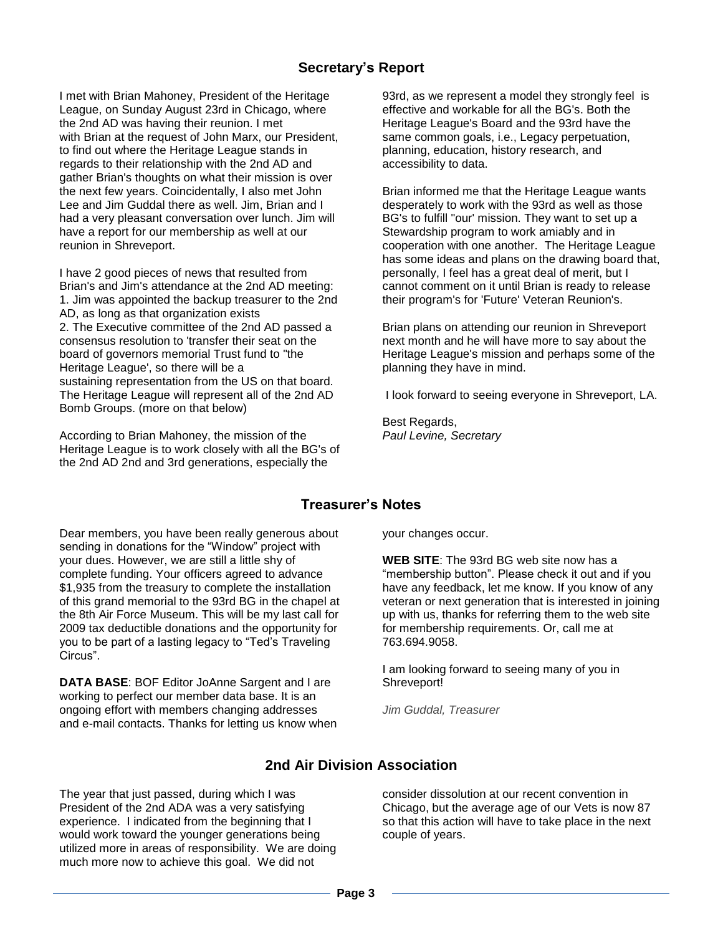### **Secretary's Report**

I met with Brian Mahoney, President of the Heritage League, on Sunday August 23rd in Chicago, where the 2nd AD was having their reunion. I met with Brian at the request of John Marx, our President, to find out where the Heritage League stands in regards to their relationship with the 2nd AD and gather Brian's thoughts on what their mission is over the next few years. Coincidentally, I also met John Lee and Jim Guddal there as well. Jim, Brian and I had a very pleasant conversation over lunch. Jim will have a report for our membership as well at our reunion in Shreveport.

I have 2 good pieces of news that resulted from Brian's and Jim's attendance at the 2nd AD meeting: 1. Jim was appointed the backup treasurer to the 2nd AD, as long as that organization exists 2. The Executive committee of the 2nd AD passed a consensus resolution to 'transfer their seat on the board of governors memorial Trust fund to "the Heritage League', so there will be a sustaining representation from the US on that board. The Heritage League will represent all of the 2nd AD Bomb Groups. (more on that below)

According to Brian Mahoney, the mission of the Heritage League is to work closely with all the BG's of the 2nd AD 2nd and 3rd generations, especially the

93rd, as we represent a model they strongly feel is effective and workable for all the BG's. Both the Heritage League's Board and the 93rd have the same common goals, i.e., Legacy perpetuation, planning, education, history research, and accessibility to data.

Brian informed me that the Heritage League wants desperately to work with the 93rd as well as those BG's to fulfill "our' mission. They want to set up a Stewardship program to work amiably and in cooperation with one another. The Heritage League has some ideas and plans on the drawing board that, personally, I feel has a great deal of merit, but I cannot comment on it until Brian is ready to release their program's for 'Future' Veteran Reunion's.

Brian plans on attending our reunion in Shreveport next month and he will have more to say about the Heritage League's mission and perhaps some of the planning they have in mind.

I look forward to seeing everyone in Shreveport, LA.

Best Regards, *Paul Levine, Secretary*

### **Treasurer's Notes**

Dear members, you have been really generous about sending in donations for the "Window" project with your dues. However, we are still a little shy of complete funding. Your officers agreed to advance \$1,935 from the treasury to complete the installation of this grand memorial to the 93rd BG in the chapel at the 8th Air Force Museum. This will be my last call for 2009 tax deductible donations and the opportunity for you to be part of a lasting legacy to "Ted's Traveling Circus".

**DATA BASE**: BOF Editor JoAnne Sargent and I are working to perfect our member data base. It is an ongoing effort with members changing addresses and e-mail contacts. Thanks for letting us know when your changes occur.

**WEB SITE**: The 93rd BG web site now has a "membership button". Please check it out and if you have any feedback, let me know. If you know of any veteran or next generation that is interested in joining up with us, thanks for referring them to the web site for membership requirements. Or, call me at 763.694.9058.

I am looking forward to seeing many of you in Shreveport!

*Jim Guddal, Treasurer*

### **2nd Air Division Association**

The year that just passed, during which I was President of the 2nd ADA was a very satisfying experience. I indicated from the beginning that I would work toward the younger generations being utilized more in areas of responsibility. We are doing much more now to achieve this goal. We did not

consider dissolution at our recent convention in Chicago, but the average age of our Vets is now 87 so that this action will have to take place in the next couple of years.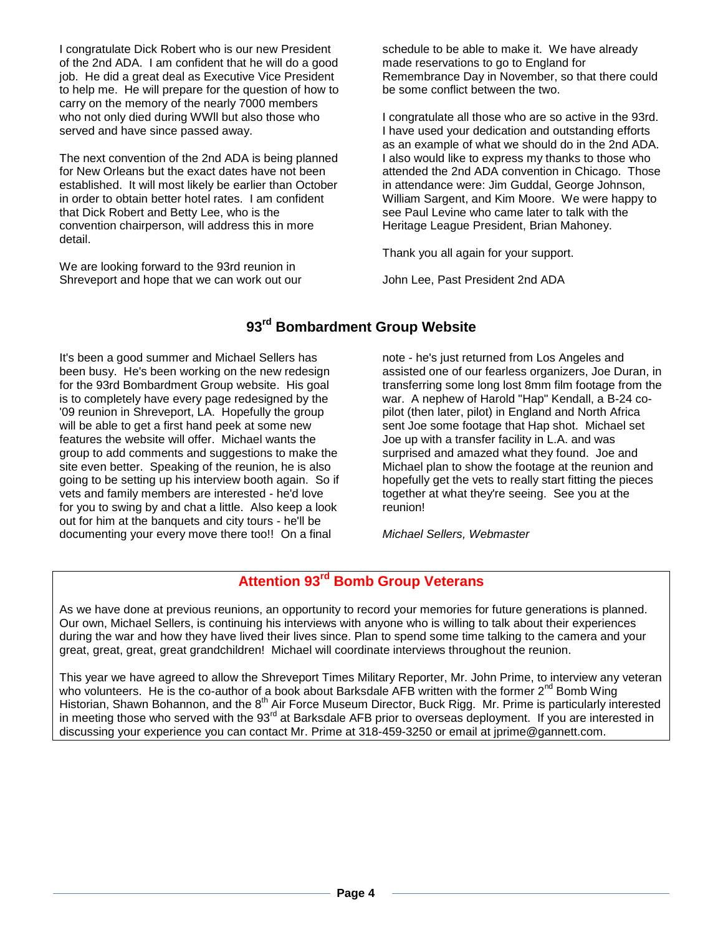I congratulate Dick Robert who is our new President of the 2nd ADA. I am confident that he will do a good job. He did a great deal as Executive Vice President to help me. He will prepare for the question of how to carry on the memory of the nearly 7000 members who not only died during WWll but also those who served and have since passed away.

The next convention of the 2nd ADA is being planned for New Orleans but the exact dates have not been established. It will most likely be earlier than October in order to obtain better hotel rates. I am confident that Dick Robert and Betty Lee, who is the convention chairperson, will address this in more detail.

We are looking forward to the 93rd reunion in Shreveport and hope that we can work out our schedule to be able to make it. We have already made reservations to go to England for Remembrance Day in November, so that there could be some conflict between the two.

I congratulate all those who are so active in the 93rd. I have used your dedication and outstanding efforts as an example of what we should do in the 2nd ADA. I also would like to express my thanks to those who attended the 2nd ADA convention in Chicago. Those in attendance were: Jim Guddal, George Johnson, William Sargent, and Kim Moore. We were happy to see Paul Levine who came later to talk with the Heritage League President, Brian Mahoney.

Thank you all again for your support.

John Lee, Past President 2nd ADA

### **93rd Bombardment Group Website**

It's been a good summer and Michael Sellers has been busy. He's been working on the new redesign for the 93rd Bombardment Group website. His goal is to completely have every page redesigned by the '09 reunion in Shreveport, LA. Hopefully the group will be able to get a first hand peek at some new features the website will offer. Michael wants the group to add comments and suggestions to make the site even better. Speaking of the reunion, he is also going to be setting up his interview booth again. So if vets and family members are interested - he'd love for you to swing by and chat a little. Also keep a look out for him at the banquets and city tours - he'll be documenting your every move there too!! On a final

note - he's just returned from Los Angeles and assisted one of our fearless organizers, Joe Duran, in transferring some long lost 8mm film footage from the war. A nephew of Harold "Hap" Kendall, a B-24 copilot (then later, pilot) in England and North Africa sent Joe some footage that Hap shot. Michael set Joe up with a transfer facility in L.A. and was surprised and amazed what they found. Joe and Michael plan to show the footage at the reunion and hopefully get the vets to really start fitting the pieces together at what they're seeing. See you at the reunion!

*Michael Sellers, Webmaster*

### **Attention 93rd Bomb Group Veterans**

As we have done at previous reunions, an opportunity to record your memories for future generations is planned. Our own, Michael Sellers, is continuing his interviews with anyone who is willing to talk about their experiences during the war and how they have lived their lives since. Plan to spend some time talking to the camera and your great, great, great, great grandchildren! Michael will coordinate interviews throughout the reunion.

This year we have agreed to allow the Shreveport Times Military Reporter, Mr. John Prime, to interview any veteran who volunteers. He is the co-author of a book about Barksdale AFB written with the former  $2^{nd}$  Bomb Wing Historian, Shawn Bohannon, and the 8<sup>th</sup> Air Force Museum Director, Buck Rigg. Mr. Prime is particularly interested in meeting those who served with the 93<sup>rd</sup> at Barksdale AFB prior to overseas deployment. If you are interested in discussing your experience you can contact Mr. Prime at 318-459-3250 or email at jprime@gannett.com.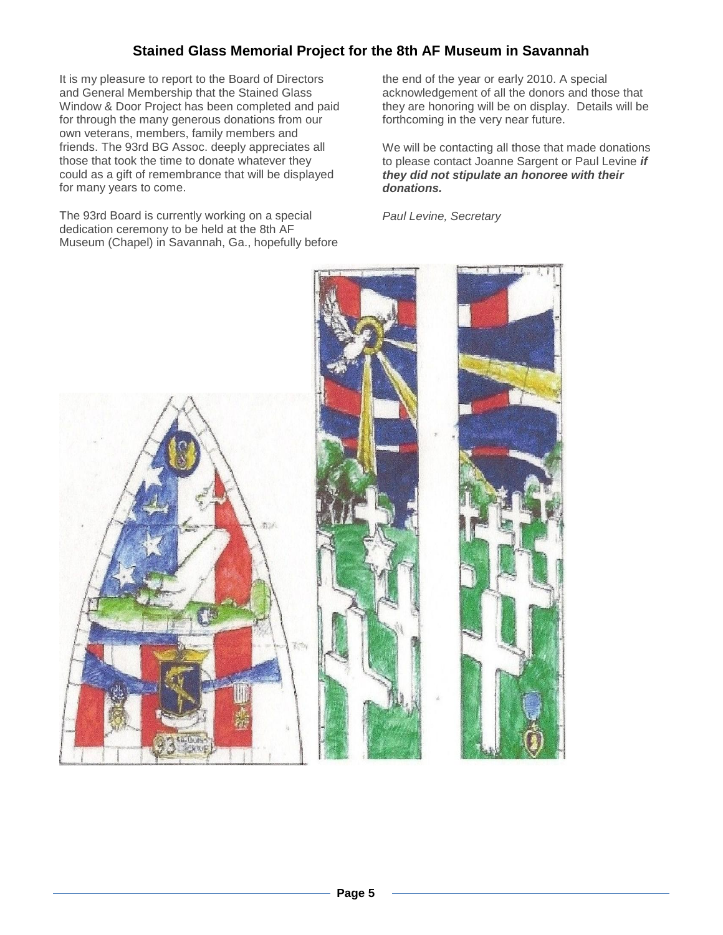### **Stained Glass Memorial Project for the 8th AF Museum in Savannah**

It is my pleasure to report to the Board of Directors and General Membership that the Stained Glass Window & Door Project has been completed and paid for through the many generous donations from our own veterans, members, family members and friends. The 93rd BG Assoc. deeply appreciates all those that took the time to donate whatever they could as a gift of remembrance that will be displayed for many years to come.

The 93rd Board is currently working on a special dedication ceremony to be held at the 8th AF Museum (Chapel) in Savannah, Ga., hopefully before

the end of the year or early 2010. A special acknowledgement of all the donors and those that they are honoring will be on display. Details will be forthcoming in the very near future.

We will be contacting all those that made donations to please contact Joanne Sargent or Paul Levine *if they did not stipulate an honoree with their donations.*

*Paul Levine, Secretary*

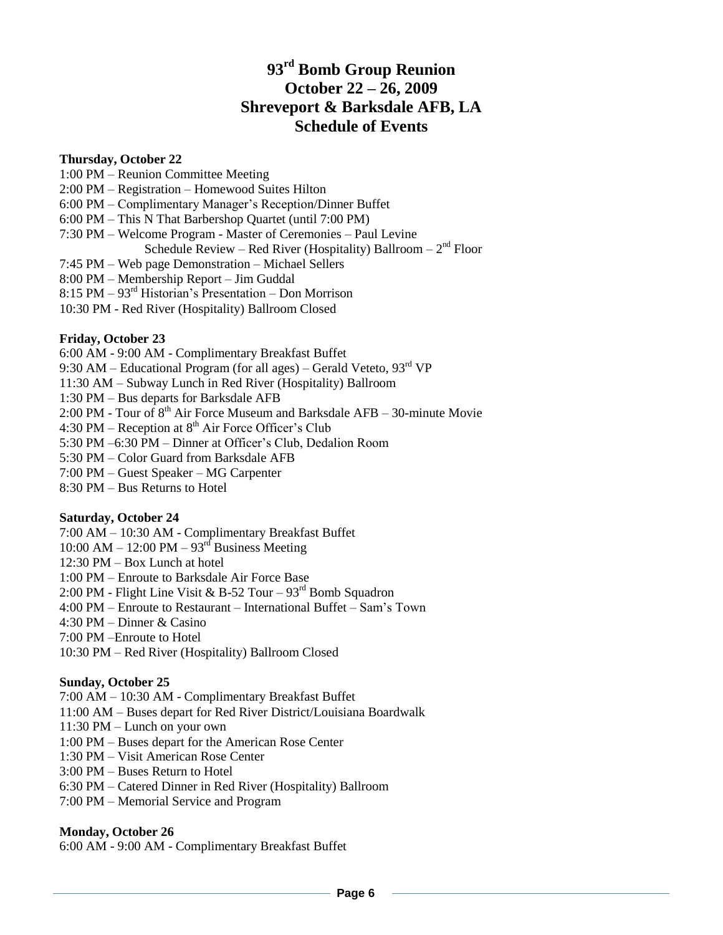### **93rd Bomb Group Reunion October 22 – 26, 2009 Shreveport & Barksdale AFB, LA Schedule of Events**

### **Thursday, October 22**

1:00 PM – Reunion Committee Meeting 2:00 PM – Registration – Homewood Suites Hilton 6:00 PM – Complimentary Manager's Reception/Dinner Buffet 6:00 PM – This N That Barbershop Quartet (until 7:00 PM) 7:30 PM – Welcome Program - Master of Ceremonies – Paul Levine Schedule Review – Red River (Hospitality) Ballroom –  $2<sup>nd</sup>$  Floor 7:45 PM – Web page Demonstration – Michael Sellers 8:00 PM – Membership Report – Jim Guddal 8:15 PM – 93rd Historian's Presentation – Don Morrison 10:30 PM - Red River (Hospitality) Ballroom Closed

### **Friday, October 23**

6:00 AM - 9:00 AM - Complimentary Breakfast Buffet 9:30 AM – Educational Program (for all ages) – Gerald Veteto,  $93<sup>rd</sup>$  VP 11:30 AM – Subway Lunch in Red River (Hospitality) Ballroom 1:30 PM – Bus departs for Barksdale AFB 2:00 PM - Tour of  $8<sup>th</sup>$  Air Force Museum and Barksdale AFB – 30-minute Movie 4:30 PM – Reception at  $8<sup>th</sup>$  Air Force Officer's Club 5:30 PM –6:30 PM – Dinner at Officer's Club, Dedalion Room 5:30 PM – Color Guard from Barksdale AFB 7:00 PM – Guest Speaker – MG Carpenter 8:30 PM – Bus Returns to Hotel

### **Saturday, October 24**

7:00 AM – 10:30 AM - Complimentary Breakfast Buffet 10:00 AM – 12:00 PM –  $93<sup>rd</sup>$  Business Meeting 12:30 PM – Box Lunch at hotel 1:00 PM – Enroute to Barksdale Air Force Base 2:00 PM - Flight Line Visit & B-52 Tour –  $93<sup>rd</sup>$  Bomb Squadron 4:00 PM – Enroute to Restaurant – International Buffet – Sam's Town 4:30 PM – Dinner & Casino 7:00 PM –Enroute to Hotel 10:30 PM – Red River (Hospitality) Ballroom Closed

### **Sunday, October 25**

7:00 AM – 10:30 AM - Complimentary Breakfast Buffet 11:00 AM – Buses depart for Red River District/Louisiana Boardwalk 11:30 PM – Lunch on your own 1:00 PM – Buses depart for the American Rose Center 1:30 PM – Visit American Rose Center 3:00 PM – Buses Return to Hotel 6:30 PM – Catered Dinner in Red River (Hospitality) Ballroom 7:00 PM – Memorial Service and Program

### **Monday, October 26**

6:00 AM - 9:00 AM - Complimentary Breakfast Buffet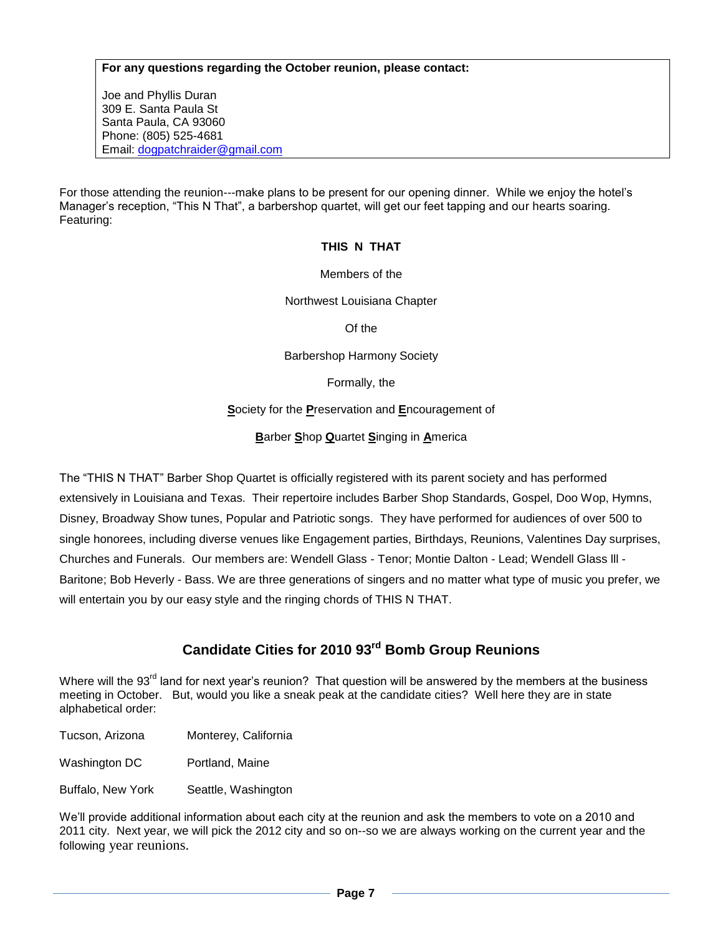### **For any questions regarding the October reunion, please contact:**

Joe and Phyllis Duran 309 E. Santa Paula St Santa Paula, CA 93060 Phone: (805) 525-4681 Email: [dogpatchraider@gmail.com](mailto:dogpatchraider@gmail.com)

For those attending the reunion---make plans to be present for our opening dinner. While we enjoy the hotel's Manager's reception, "This N That", a barbershop quartet, will get our feet tapping and our hearts soaring. Featuring:

### **THIS N THAT**

### Members of the

Northwest Louisiana Chapter

Of the

Barbershop Harmony Society

Formally, the

**S**ociety for the **P**reservation and **E**ncouragement of

**B**arber **S**hop **Q**uartet **S**inging in **A**merica

The "THIS N THAT" Barber Shop Quartet is officially registered with its parent society and has performed extensively in Louisiana and Texas. Their repertoire includes Barber Shop Standards, Gospel, Doo Wop, Hymns, Disney, Broadway Show tunes, Popular and Patriotic songs. They have performed for audiences of over 500 to single honorees, including diverse venues like Engagement parties, Birthdays, Reunions, Valentines Day surprises, Churches and Funerals. Our members are: Wendell Glass - Tenor; Montie Dalton - Lead; Wendell Glass lll - Baritone; Bob Heverly - Bass. We are three generations of singers and no matter what type of music you prefer, we will entertain you by our easy style and the ringing chords of THIS N THAT.

### **Candidate Cities for 2010 93rd Bomb Group Reunions**

Where will the 93<sup>rd</sup> land for next year's reunion? That question will be answered by the members at the business meeting in October. But, would you like a sneak peak at the candidate cities? Well here they are in state alphabetical order:

Tucson, Arizona Monterey, California

Washington DC Portland, Maine

Buffalo, New York Seattle, Washington

We'll provide additional information about each city at the reunion and ask the members to vote on a 2010 and 2011 city. Next year, we will pick the 2012 city and so on--so we are always working on the current year and the following year reunions.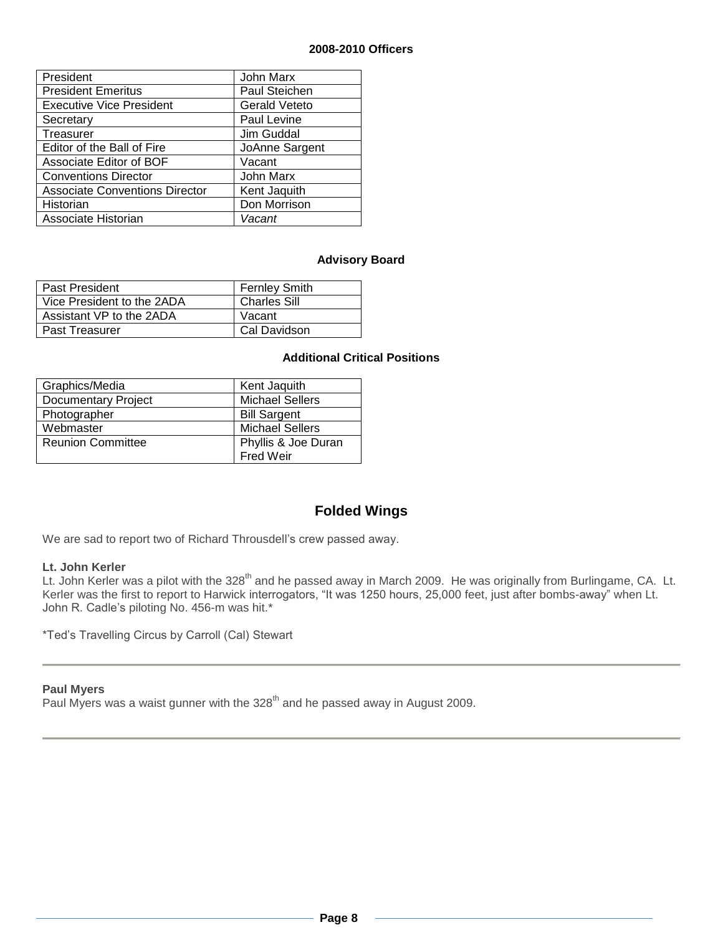### **2008-2010 Officers**

| President                             | John Marx            |
|---------------------------------------|----------------------|
| <b>President Emeritus</b>             | Paul Steichen        |
| <b>Executive Vice President</b>       | <b>Gerald Veteto</b> |
| Secretary                             | Paul Levine          |
| Treasurer                             | Jim Guddal           |
| Editor of the Ball of Fire            | JoAnne Sargent       |
| Associate Editor of BOF               | Vacant               |
| <b>Conventions Director</b>           | John Marx            |
| <b>Associate Conventions Director</b> | Kent Jaquith         |
| Historian                             | Don Morrison         |
| Associate Historian                   | Vacant               |

### **Advisory Board**

| Past President             | <b>Fernley Smith</b> |
|----------------------------|----------------------|
| Vice President to the 2ADA | <b>Charles Sill</b>  |
| Assistant VP to the 2ADA   | Vacant               |
| <b>Past Treasurer</b>      | Cal Davidson         |

### **Additional Critical Positions**

| Graphics/Media             | Kent Jaquith           |
|----------------------------|------------------------|
| <b>Documentary Project</b> | <b>Michael Sellers</b> |
| Photographer               | <b>Bill Sargent</b>    |
| Webmaster                  | <b>Michael Sellers</b> |
| <b>Reunion Committee</b>   | Phyllis & Joe Duran    |
|                            | <b>Fred Weir</b>       |

### **Folded Wings**

We are sad to report two of Richard Throusdell's crew passed away.

#### **Lt. John Kerler**

Lt. John Kerler was a pilot with the 328<sup>th</sup> and he passed away in March 2009. He was originally from Burlingame, CA. Lt. Kerler was the first to report to Harwick interrogators, "It was 1250 hours, 25,000 feet, just after bombs-away" when Lt. John R. Cadle's piloting No. 456-m was hit.\*

\*Ted's Travelling Circus by Carroll (Cal) Stewart

### **Paul Myers**

Paul Myers was a waist gunner with the 328<sup>th</sup> and he passed away in August 2009.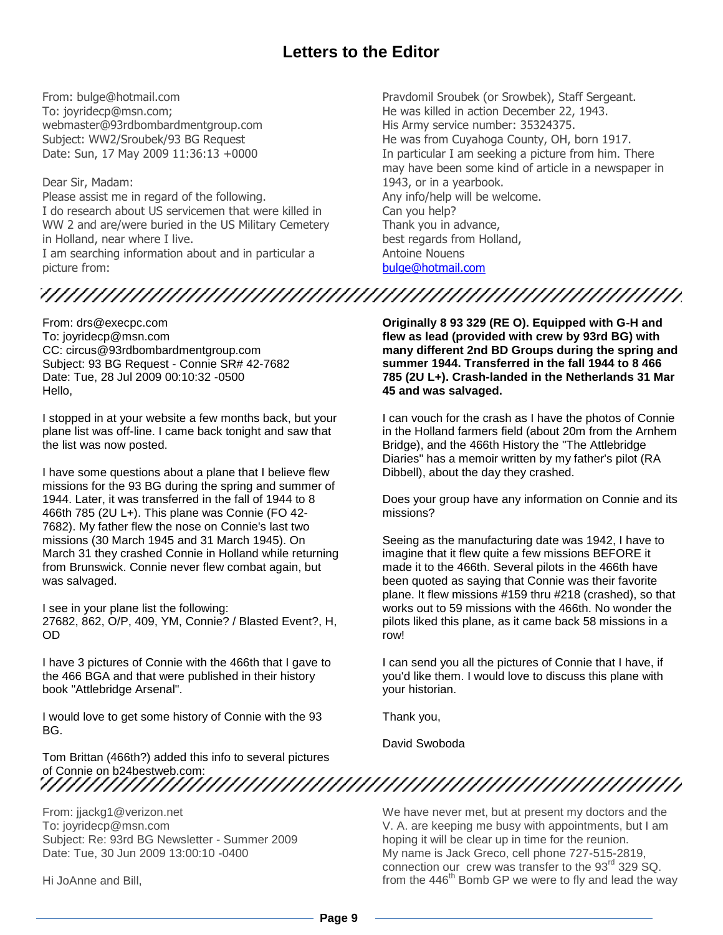## **Letters to the Editor**

From: bulge@hotmail.com To: joyridecp@msn.com; webmaster@93rdbombardmentgroup.com Subject: WW2/Sroubek/93 BG Request Date: Sun, 17 May 2009 11:36:13 +0000

Dear Sir, Madam: Please assist me in regard of the following. I do research about US servicemen that were killed in WW 2 and are/were buried in the US Military Cemetery in Holland, near where I live. I am searching information about and in particular a picture from:

Pravdomil Sroubek (or Srowbek), Staff Sergeant. He was killed in action December 22, 1943. His Army service number: 35324375. He was from Cuyahoga County, OH, born 1917. In particular I am seeking a picture from him. There may have been some kind of article in a newspaper in 1943, or in a yearbook. Any info/help will be welcome. Can you help? Thank you in advance, best regards from Holland, Antoine Nouens [bulge@hotmail.com](mailto:bulge@hotmail.com)

From: drs@execpc.com To: joyridecp@msn.com CC: circus@93rdbombardmentgroup.com Subject: 93 BG Request - Connie SR# 42-7682 Date: Tue, 28 Jul 2009 00:10:32 -0500 Hello,

I stopped in at your website a few months back, but your plane list was off-line. I came back tonight and saw that the list was now posted.

I have some questions about a plane that I believe flew missions for the 93 BG during the spring and summer of 1944. Later, it was transferred in the fall of 1944 to 8 466th 785 (2U L+). This plane was Connie (FO 42- 7682). My father flew the nose on Connie's last two missions (30 March 1945 and 31 March 1945). On March 31 they crashed Connie in Holland while returning from Brunswick. Connie never flew combat again, but was salvaged.

I see in your plane list the following: 27682, 862, O/P, 409, YM, Connie? / Blasted Event?, H, OD

I have 3 pictures of Connie with the 466th that I gave to the 466 BGA and that were published in their history book "Attlebridge Arsenal".

I would love to get some history of Connie with the 93 BG.

Tom Brittan (466th?) added this info to several pictures of Connie on b24bestweb.com:

From: jjackg1@verizon.net To: joyridecp@msn.com Subject: Re: 93rd BG Newsletter - Summer 2009 Date: Tue, 30 Jun 2009 13:00:10 -0400

Hi JoAnne and Bill,

**Originally 8 93 329 (RE O). Equipped with G-H and flew as lead (provided with crew by 93rd BG) with many different 2nd BD Groups during the spring and summer 1944. Transferred in the fall 1944 to 8 466 785 (2U L+). Crash-landed in the Netherlands 31 Mar 45 and was salvaged.**

I can vouch for the crash as I have the photos of Connie in the Holland farmers field (about 20m from the Arnhem Bridge), and the 466th History the "The Attlebridge Diaries" has a memoir written by my father's pilot (RA Dibbell), about the day they crashed.

Does your group have any information on Connie and its missions?

Seeing as the manufacturing date was 1942, I have to imagine that it flew quite a few missions BEFORE it made it to the 466th. Several pilots in the 466th have been quoted as saying that Connie was their favorite plane. It flew missions #159 thru #218 (crashed), so that works out to 59 missions with the 466th. No wonder the pilots liked this plane, as it came back 58 missions in a row!

I can send you all the pictures of Connie that I have, if you'd like them. I would love to discuss this plane with your historian.

Thank you,

David Swoboda

We have never met, but at present my doctors and the V. A. are keeping me busy with appointments, but I am hoping it will be clear up in time for the reunion. My name is Jack Greco, cell phone 727-515-2819, connection our crew was transfer to the  $93<sup>rd</sup>$  329 SQ. from the 446<sup>th</sup> Bomb GP we were to fly and lead the way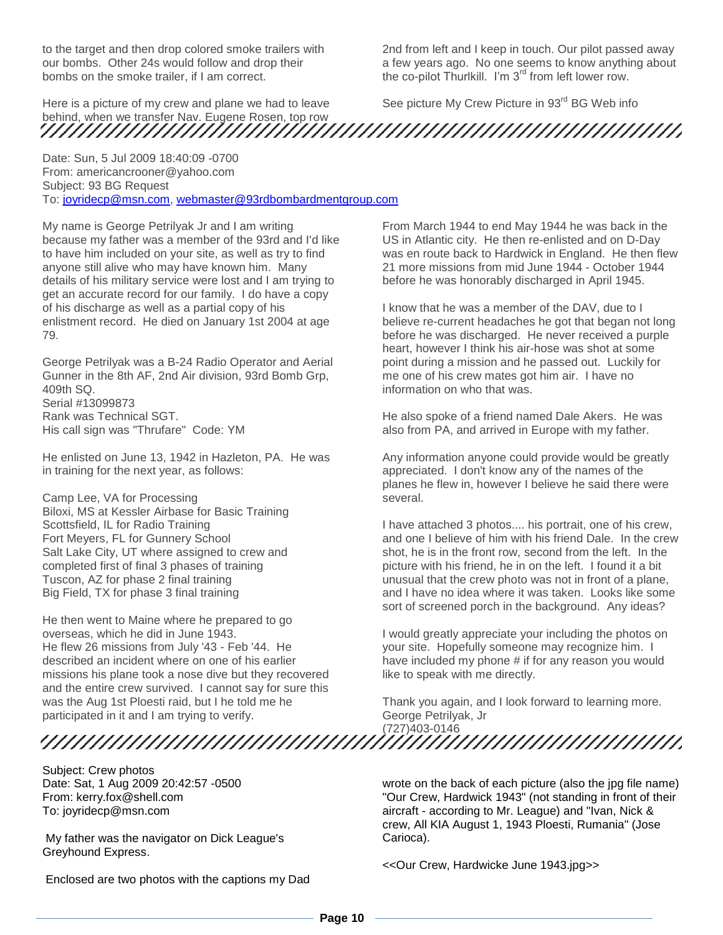to the target and then drop colored smoke trailers with our bombs. Other 24s would follow and drop their bombs on the smoke trailer, if I am correct.

Here is a picture of my crew and plane we had to leave behind, when we transfer Nav. Eugene Rosen, top row

Date: Sun, 5 Jul 2009 18:40:09 -0700 From: americancrooner@yahoo.com Subject: 93 BG Request To: [joyridecp@msn.com,](mailto:joyridecp@msn.com) [webmaster@93rdbombardmentgroup.com](mailto:webmaster@93rdbombardmentgroup.com)

My name is George Petrilyak Jr and I am writing because my father was a member of the 93rd and I'd like to have him included on your site, as well as try to find anyone still alive who may have known him. Many details of his military service were lost and I am trying to get an accurate record for our family. I do have a copy of his discharge as well as a partial copy of his enlistment record. He died on January 1st 2004 at age 79.

George Petrilyak was a B-24 Radio Operator and Aerial Gunner in the 8th AF, 2nd Air division, 93rd Bomb Grp, 409th SQ. Serial #13099873 Rank was Technical SGT. His call sign was "Thrufare" Code: YM

He enlisted on June 13, 1942 in Hazleton, PA. He was in training for the next year, as follows:

Camp Lee, VA for Processing Biloxi, MS at Kessler Airbase for Basic Training Scottsfield, IL for Radio Training Fort Meyers, FL for Gunnery School Salt Lake City, UT where assigned to crew and completed first of final 3 phases of training Tuscon, AZ for phase 2 final training Big Field, TX for phase 3 final training

He then went to Maine where he prepared to go overseas, which he did in June 1943. He flew 26 missions from July '43 - Feb '44. He described an incident where on one of his earlier missions his plane took a nose dive but they recovered and the entire crew survived. I cannot say for sure this was the Aug 1st Ploesti raid, but I he told me he participated in it and I am trying to verify.

Subject: Crew photos Date: Sat, 1 Aug 2009 20:42:57 -0500 From: kerry.fox@shell.com To: joyridecp@msn.com

My father was the navigator on Dick League's Greyhound Express.

Enclosed are two photos with the captions my Dad

2nd from left and I keep in touch. Our pilot passed away a few years ago. No one seems to know anything about the co-pilot Thurlkill. I'm 3<sup>rd</sup> from left lower row.

See picture My Crew Picture in 93<sup>rd</sup> BG Web info

From March 1944 to end May 1944 he was back in the US in Atlantic city. He then re-enlisted and on D-Day was en route back to Hardwick in England. He then flew 21 more missions from mid June 1944 - October 1944 before he was honorably discharged in April 1945.

I know that he was a member of the DAV, due to I believe re-current headaches he got that began not long before he was discharged. He never received a purple heart, however I think his air-hose was shot at some point during a mission and he passed out. Luckily for me one of his crew mates got him air. I have no information on who that was.

He also spoke of a friend named Dale Akers. He was also from PA, and arrived in Europe with my father.

Any information anyone could provide would be greatly appreciated. I don't know any of the names of the planes he flew in, however I believe he said there were several.

I have attached 3 photos.... his portrait, one of his crew, and one I believe of him with his friend Dale. In the crew shot, he is in the front row, second from the left. In the picture with his friend, he in on the left. I found it a bit unusual that the crew photo was not in front of a plane, and I have no idea where it was taken. Looks like some sort of screened porch in the background. Any ideas?

I would greatly appreciate your including the photos on your site. Hopefully someone may recognize him. I have included my phone # if for any reason you would like to speak with me directly.

Thank you again, and I look forward to learning more. George Petrilyak, Jr (727)403-0146

> wrote on the back of each picture (also the jpg file name) "Our Crew, Hardwick 1943" (not standing in front of their aircraft - according to Mr. League) and "Ivan, Nick & crew, All KIA August 1, 1943 Ploesti, Rumania" (Jose Carioca).

<<Our Crew, Hardwicke June 1943.jpg>>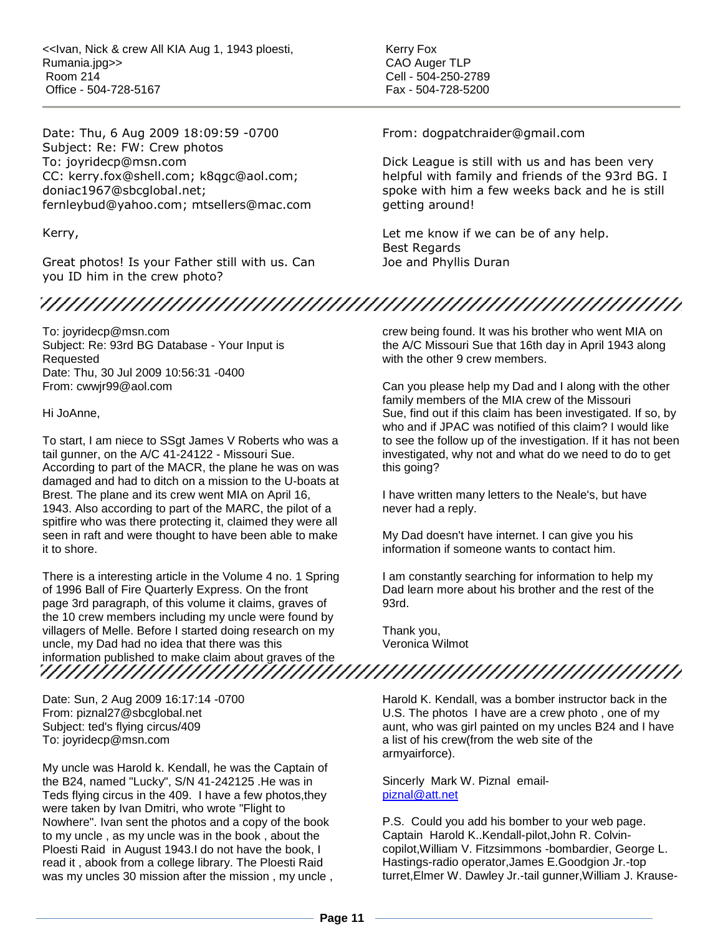<<Ivan, Nick & crew All KIA Aug 1, 1943 ploesti, Rumania.jpg>> Room 214 Office - 504-728-5167

Date: Thu, 6 Aug 2009 18:09:59 -0700 Subject: Re: FW: Crew photos To: joyridecp@msn.com CC: kerry.fox@shell.com; k8qgc@aol.com; doniac1967@sbcglobal.net; fernleybud@yahoo.com; mtsellers@mac.com

Kerry,

Great photos! Is your Father still with us. Can you ID him in the crew photo?

To: joyridecp@msn.com Subject: Re: 93rd BG Database - Your Input is Requested Date: Thu, 30 Jul 2009 10:56:31 -0400 From: cwwjr99@aol.com

Hi JoAnne,

To start, I am niece to SSgt James V Roberts who was a tail gunner, on the A/C 41-24122 - Missouri Sue. According to part of the MACR, the plane he was on was damaged and had to ditch on a mission to the U-boats at Brest. The plane and its crew went MIA on April 16, 1943. Also according to part of the MARC, the pilot of a spitfire who was there protecting it, claimed they were all seen in raft and were thought to have been able to make it to shore.

There is a interesting article in the Volume 4 no. 1 Spring of 1996 Ball of Fire Quarterly Express. On the front page 3rd paragraph, of this volume it claims, graves of the 10 crew members including my uncle were found by villagers of Melle. Before I started doing research on my uncle, my Dad had no idea that there was this information published to make claim about graves of the

Date: Sun, 2 Aug 2009 16:17:14 -0700 From: piznal27@sbcglobal.net Subject: ted's flying circus/409 To: joyridecp@msn.com

My uncle was Harold k. Kendall, he was the Captain of the B24, named "Lucky", S/N 41-242125 .He was in Teds flying circus in the 409. I have a few photos,they were taken by Ivan Dmitri, who wrote "Flight to Nowhere". Ivan sent the photos and a copy of the book to my uncle , as my uncle was in the book , about the Ploesti Raid in August 1943.I do not have the book, I read it , abook from a college library. The Ploesti Raid was my uncles 30 mission after the mission , my uncle , Kerry Fox CAO Auger TLP Cell - 504-250-2789 Fax - 504-728-5200

From: dogpatchraider@gmail.com

Dick League is still with us and has been very helpful with family and friends of the 93rd BG. I spoke with him a few weeks back and he is still getting around!

Let me know if we can be of any help. Best Regards Joe and Phyllis Duran

crew being found. It was his brother who went MIA on the A/C Missouri Sue that 16th day in April 1943 along with the other 9 crew members.

Can you please help my Dad and I along with the other family members of the MIA crew of the Missouri Sue, find out if this claim has been investigated. If so, by who and if JPAC was notified of this claim? I would like to see the follow up of the investigation. If it has not been investigated, why not and what do we need to do to get this going?

I have written many letters to the Neale's, but have never had a reply.

My Dad doesn't have internet. I can give you his information if someone wants to contact him.

I am constantly searching for information to help my Dad learn more about his brother and the rest of the 93rd.

Thank you, Veronica Wilmot

Harold K. Kendall, was a bomber instructor back in the U.S. The photos I have are a crew photo , one of my aunt, who was girl painted on my uncles B24 and I have a list of his crew(from the web site of the armyairforce).

Sincerly Mark W. Piznal email[piznal@att.net](mailto:piznal@att.net) 

P.S. Could you add his bomber to your web page. Captain Harold K..Kendall-pilot,John R. Colvincopilot,William V. Fitzsimmons -bombardier, George L. Hastings-radio operator,James E.Goodgion Jr.-top turret,Elmer W. Dawley Jr.-tail gunner,William J. Krause-

**Page 11**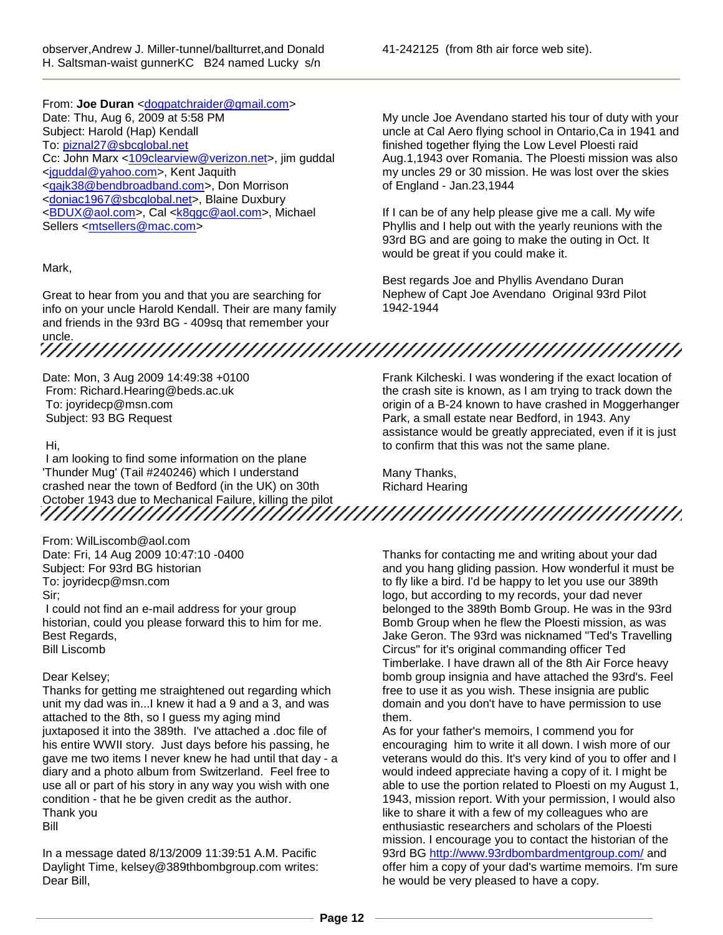From: Joe Duran [<dogpatchraider@gmail.com>](mailto:dogpatchraider@gmail.com) Date: Thu, Aug 6, 2009 at 5:58 PM Subject: Harold (Hap) Kendall To: [piznal27@sbcglobal.net](mailto:piznal27@sbcglobal.net) Cc: John Marx [<109clearview@verizon.net>](mailto:109clearview@verizon.net), jim guddal [<jguddal@yahoo.com>](mailto:jguddal@yahoo.com), Kent Jaquith [<qajk38@bendbroadband.com>](mailto:qajk38@bendbroadband.com), Don Morrison [<doniac1967@sbcglobal.net>](mailto:doniac1967@sbcglobal.net), Blaine Duxbury [<BDUX@aol.com>](mailto:BDUX@aol.com), Cal [<k8qgc@aol.com>](mailto:k8qgc@aol.com), Michael Sellers [<mtsellers@mac.com>](mailto:mtsellers@mac.com)

### Mark,

Great to hear from you and that you are searching for info on your uncle Harold Kendall. Their are many family and friends in the 93rd BG - 409sq that remember your

# uncle.

Date: Mon, 3 Aug 2009 14:49:38 +0100 From: Richard.Hearing@beds.ac.uk To: joyridecp@msn.com Subject: 93 BG Request

#### Hi,

I am looking to find some information on the plane 'Thunder Mug' (Tail #240246) which I understand crashed near the town of Bedford (in the UK) on 30th October 1943 due to Mechanical Failure, killing the pilot

From: WilLiscomb@aol.com

Date: Fri, 14 Aug 2009 10:47:10 -0400 Subject: For 93rd BG historian To: joyridecp@msn.com Sir;

I could not find an e-mail address for your group historian, could you please forward this to him for me. Best Regards, Bill Liscomb

#### Dear Kelsey;

Thanks for getting me straightened out regarding which unit my dad was in...I knew it had a 9 and a 3, and was attached to the 8th, so I guess my aging mind juxtaposed it into the 389th. I've attached a .doc file of his entire WWII story. Just days before his passing, he gave me two items I never knew he had until that day - a diary and a photo album from Switzerland. Feel free to use all or part of his story in any way you wish with one condition - that he be given credit as the author. Thank you

Bill

In a message dated 8/13/2009 11:39:51 A.M. Pacific Daylight Time, kelsey@389thbombgroup.com writes: Dear Bill,

41-242125 (from 8th air force web site).

My uncle Joe Avendano started his tour of duty with your uncle at Cal Aero flying school in Ontario,Ca in 1941 and finished together flying the Low Level Ploesti raid Aug.1,1943 over Romania. The Ploesti mission was also my uncles 29 or 30 mission. He was lost over the skies of England - Jan.23,1944

If I can be of any help please give me a call. My wife Phyllis and I help out with the yearly reunions with the 93rd BG and are going to make the outing in Oct. It would be great if you could make it.

Best regards Joe and Phyllis Avendano Duran Nephew of Capt Joe Avendano Original 93rd Pilot 1942-1944

Frank Kilcheski. I was wondering if the exact location of the crash site is known, as I am trying to track down the origin of a B-24 known to have crashed in Moggerhanger Park, a small estate near Bedford, in 1943. Any assistance would be greatly appreciated, even if it is just to confirm that this was not the same plane.

Many Thanks, Richard Hearing

Thanks for contacting me and writing about your dad and you hang gliding passion. How wonderful it must be to fly like a bird. I'd be happy to let you use our 389th logo, but according to my records, your dad never belonged to the 389th Bomb Group. He was in the 93rd Bomb Group when he flew the Ploesti mission, as was Jake Geron. The 93rd was nicknamed "Ted's Travelling Circus" for it's original commanding officer Ted Timberlake. I have drawn all of the 8th Air Force heavy bomb group insignia and have attached the 93rd's. Feel free to use it as you wish. These insignia are public domain and you don't have to have permission to use them.

As for your father's memoirs, I commend you for encouraging him to write it all down. I wish more of our veterans would do this. It's very kind of you to offer and I would indeed appreciate having a copy of it. I might be able to use the portion related to Ploesti on my August 1, 1943, mission report. With your permission, I would also like to share it with a few of my colleagues who are enthusiastic researchers and scholars of the Ploesti mission. I encourage you to contact the historian of the 93rd BG<http://www.93rdbombardmentgroup.com/> and offer him a copy of your dad's wartime memoirs. I'm sure he would be very pleased to have a copy.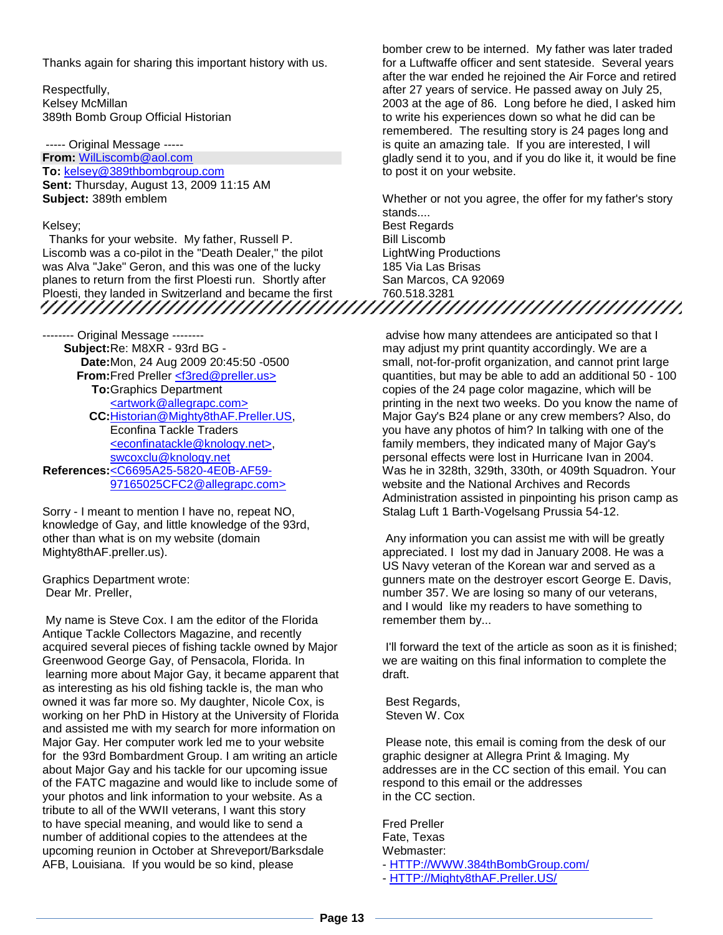Thanks again for sharing this important history with us.

Respectfully, Kelsey McMillan 389th Bomb Group Official Historian

----- Original Message ----- **From:** [WilLiscomb@aol.com](mailto:WilLiscomb@aol.com) **To:** [kelsey@389thbombgroup.com](mailto:kelsey@389thbombgroup.com) **Sent:** Thursday, August 13, 2009 11:15 AM **Subject:** 389th emblem

#### Kelsey;

Thanks for your website. My father, Russell P. Liscomb was a co-pilot in the "Death Dealer," the pilot was Alva "Jake" Geron, and this was one of the lucky planes to return from the first Ploesti run. Shortly after Ploesti, they landed in Switzerland and became the first

-------- Original Message -------- **Subject:** Re: M8XR - 93rd BG - **Date:** Mon, 24 Aug 2009 20:45:50 -0500 **From:** Fred Preller [<f3red@preller.us>](mailto:f3red@preller.us%3E) **To:** Graphics Department [<artwork@allegrapc.com>](mailto:artwork@allegrapc.com%3E) **CC:** [Historian@Mighty8thAF.Preller.US,](mailto:Historian@Mighty8thAF.Preller.US) Econfina Tackle Traders [<econfinatackle@knology.net>,](mailto:econfinatackle@knology.net%3E) [swcoxclu@knology.net](mailto:swcoxclu@knology.net) **References:** [<C6695A25-5820-4E0B-AF59-](mailto:C6695A25-5820-4E0B-AF59-97165025CFC2@allegrapc.com) [97165025CFC2@allegrapc.com>](mailto:C6695A25-5820-4E0B-AF59-97165025CFC2@allegrapc.com)

Sorry - I meant to mention I have no, repeat NO, knowledge of Gay, and little knowledge of the 93rd, other than what is on my website (domain Mighty8thAF.preller.us).

Graphics Department wrote: Dear Mr. Preller,

My name is Steve Cox. I am the editor of the Florida Antique Tackle Collectors Magazine, and recently acquired several pieces of fishing tackle owned by Major Greenwood George Gay, of Pensacola, Florida. In learning more about Major Gay, it became apparent that as interesting as his old fishing tackle is, the man who owned it was far more so. My daughter, Nicole Cox, is working on her PhD in History at the University of Florida and assisted me with my search for more information on Major Gay. Her computer work led me to your website for the 93rd Bombardment Group. I am writing an article about Major Gay and his tackle for our upcoming issue of the FATC magazine and would like to include some of your photos and link information to your website. As a tribute to all of the WWII veterans, I want this story to have special meaning, and would like to send a number of additional copies to the attendees at the upcoming reunion in October at Shreveport/Barksdale AFB, Louisiana. If you would be so kind, please

bomber crew to be interned. My father was later traded for a Luftwaffe officer and sent stateside. Several years after the war ended he rejoined the Air Force and retired after 27 years of service. He passed away on July 25, 2003 at the age of 86. Long before he died, I asked him to write his experiences down so what he did can be remembered. The resulting story is 24 pages long and is quite an amazing tale. If you are interested, I will gladly send it to you, and if you do like it, it would be fine to post it on your website.

Whether or not you agree, the offer for my father's story stands.... Best Regards Bill Liscomb LightWing Productions 185 Via Las Brisas San Marcos, CA 92069

advise how many attendees are anticipated so that I may adjust my print quantity accordingly. We are a small, not-for-profit organization, and cannot print large quantities, but may be able to add an additional 50 - 100 copies of the 24 page color magazine, which will be printing in the next two weeks. Do you know the name of Major Gay's B24 plane or any crew members? Also, do you have any photos of him? In talking with one of the family members, they indicated many of Major Gay's personal effects were lost in Hurricane Ivan in 2004. Was he in 328th, 329th, 330th, or 409th Squadron. Your website and the National Archives and Records Administration assisted in pinpointing his prison camp as Stalag Luft 1 Barth-Vogelsang Prussia 54-12.

Any information you can assist me with will be greatly appreciated. I lost my dad in January 2008. He was a US Navy veteran of the Korean war and served as a gunners mate on the destroyer escort George E. Davis, number 357. We are losing so many of our veterans, and I would like my readers to have something to remember them by...

I'll forward the text of the article as soon as it is finished; we are waiting on this final information to complete the draft.

Best Regards, Steven W. Cox

760.518.3281

Please note, this email is coming from the desk of our graphic designer at Allegra Print & Imaging. My addresses are in the CC section of this email. You can respond to this email or the addresses in the CC section.

Fred Preller Fate, Texas Webmaster: - [HTTP://WWW.384thBombGroup.com/](http://http/WWW.384thBombGroup.com/)

- [HTTP://Mighty8thAF.Preller.US/](http://http/Mighty8thAF.Preller.US/)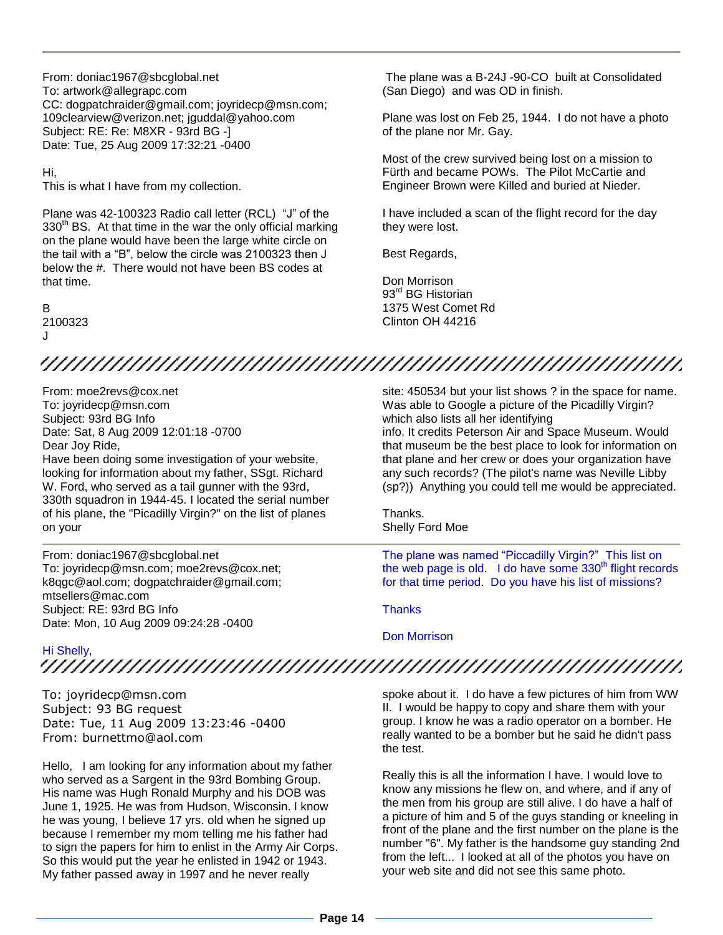From: doniac1967@sbcglobal.net To: artwork@allegrapc.com CC: dogpatchraider@gmail.com; joyridecp@msn.com; 109clearview@verizon.net; jguddal@yahoo.com Subject: RE: Re: M8XR - 93rd BG -] Date: Tue, 25 Aug 2009 17:32:21 -0400

Hi,

This is what I have from my collection.

Plane was 42-100323 Radio call letter (RCL) "J" of the  $330<sup>th</sup>$  BS. At that time in the war the only official marking on the plane would have been the large white circle on the tail with a "B", below the circle was 2100323 then J below the #. There would not have been BS codes at that time.

B 2100323  $\overline{\mathbf{J}}$ 

The plane was a B-24J -90-CO built at Consolidated (San Diego) and was OD in finish.

Plane was lost on Feb 25, 1944. I do not have a photo of the plane nor Mr. Gay.

Most of the crew survived being lost on a mission to Fürth and became POWs. The Pilot McCartie and Engineer Brown were Killed and buried at Nieder.

I have included a scan of the flight record for the day they were lost.

Best Regards,

Don Morrison 93<sup>rd</sup> BG Historian 1375 West Comet Rd Clinton OH 44216

# 

From: moe2revs@cox.net To: joyridecp@msn.com Subject: 93rd BG Info Date: Sat, 8 Aug 2009 12:01:18 -0700 Dear Joy Ride, Have been doing some investigation of your website, looking for information about my father, SSgt. Richard W. Ford, who served as a tail gunner with the 93rd, 330th squadron in 1944-45. I located the serial number of his plane, the "Picadilly Virgin?" on the list of planes on your

From: doniac1967@sbcglobal.net To: joyridecp@msn.com; moe2revs@cox.net; k8qgc@aol.com; dogpatchraider@gmail.com; mtsellers@mac.com Subject: RE: 93rd BG Info Date: Mon, 10 Aug 2009 09:24:28 -0400

site: 450534 but your list shows ? in the space for name. Was able to Google a picture of the Picadilly Virgin? which also lists all her identifying info. It credits Peterson Air and Space Museum. Would that museum be the best place to look for information on that plane and her crew or does your organization have any such records? (The pilot's name was Neville Libby (sp?)) Anything you could tell me would be appreciated.

Thanks. Shelly Ford Moe

The plane was named "Piccadilly Virgin?" This list on the web page is old. I do have some  $330<sup>th</sup>$  flight records for that time period. Do you have his list of missions?

**Thanks** 

Don Morrison

Hi Shelly,

To: joyridecp@msn.com Subject: 93 BG request Date: Tue, 11 Aug 2009 13:23:46 -0400 From: burnettmo@aol.com

Hello, I am looking for any information about my father who served as a Sargent in the 93rd Bombing Group. His name was Hugh Ronald Murphy and his DOB was June 1, 1925. He was from Hudson, Wisconsin. I know he was young, I believe 17 yrs. old when he signed up because I remember my mom telling me his father had to sign the papers for him to enlist in the Army Air Corps. So this would put the year he enlisted in 1942 or 1943. My father passed away in 1997 and he never really

spoke about it. I do have a few pictures of him from WW II. I would be happy to copy and share them with your group. I know he was a radio operator on a bomber. He really wanted to be a bomber but he said he didn't pass the test.

Really this is all the information I have. I would love to know any missions he flew on, and where, and if any of the men from his group are still alive. I do have a half of a picture of him and 5 of the guys standing or kneeling in front of the plane and the first number on the plane is the number "6". My father is the handsome guy standing 2nd from the left... I looked at all of the photos you have on your web site and did not see this same photo.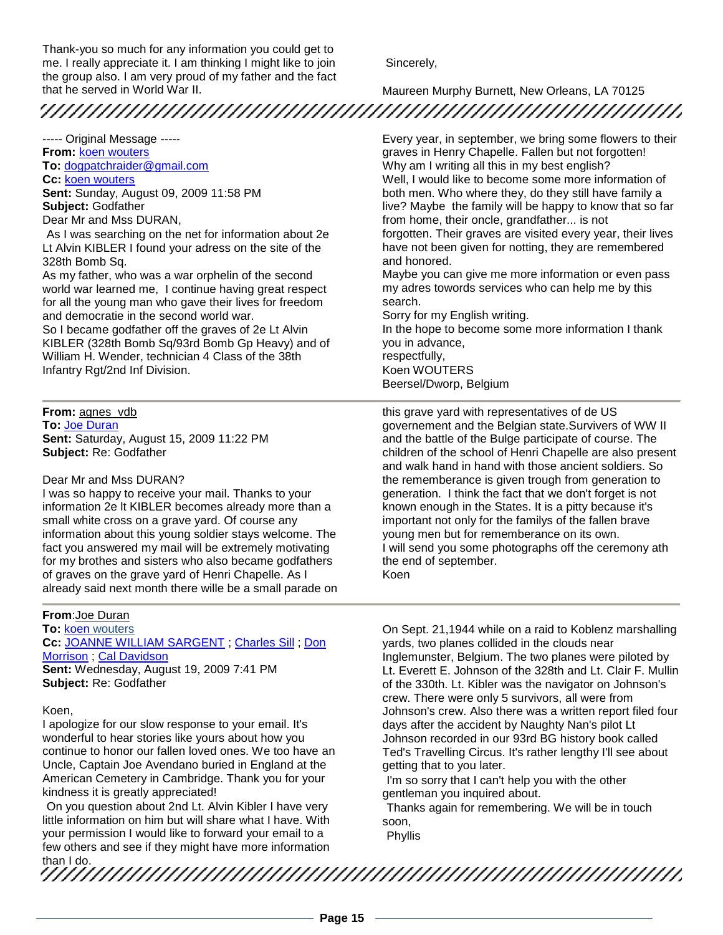Thank-you so much for any information you could get to me. I really appreciate it. I am thinking I might like to join the group also. I am very proud of my father and the fact that he served in World War II.

Sincerely,

Maureen Murphy Burnett, New Orleans, LA 70125 

----- Original Message ----- **From:** [koen wouters](mailto:koen.wouters1@telenet.be) **To:** [dogpatchraider@gmail.com](mailto:dogpatchraider@gmail.com) **Cc:** [koen wouters](mailto:koen.wouters1@telenet.be) **Sent:** Sunday, August 09, 2009 11:58 PM **Subject:** Godfather Dear Mr and Mss DURAN,

As I was searching on the net for information about 2e Lt Alvin KIBLER I found your adress on the site of the 328th Bomb Sq.

As my father, who was a war orphelin of the second world war learned me, I continue having great respect for all the young man who gave their lives for freedom and democratie in the second world war.

So I became godfather off the graves of 2e Lt Alvin KIBLER (328th Bomb Sq/93rd Bomb Gp Heavy) and of William H. Wender, technician 4 Class of the 38th Infantry Rgt/2nd Inf Division.

**From:** <u>agnes\_vdb</u> **To:** [Joe Duran](mailto:dogpatchraider@gmail.com) **Sent:** Saturday, August 15, 2009 11:22 PM **Subject:** Re: Godfather

#### Dear Mr and Mss DURAN?

I was so happy to receive your mail. Thanks to your information 2e lt KIBLER becomes already more than a small white cross on a grave yard. Of course any information about this young soldier stays welcome. The fact you answered my mail will be extremely motivating for my brothes and sisters who also became godfathers of graves on the grave yard of Henri Chapelle. As I already said next month there wille be a small parade on

#### **From**:Joe Duran

**To:** [koen wouters](mailto:koen.wouters1@telenet.be) **Cc:** [JOANNE WILLIAM SARGENT](mailto:joyridecp@msn.com) ; [Charles Sill](mailto:chrssl2@clearwire.net) ; [Don](mailto:doniac1967@sbcglobal.net)  [Morrison](mailto:doniac1967@sbcglobal.net) ; [Cal Davidson](mailto:K8QGC@aol.com) **Sent:** Wednesday, August 19, 2009 7:41 PM **Subject:** Re: Godfather

#### Koen,

I apologize for our slow response to your email. It's wonderful to hear stories like yours about how you continue to honor our fallen loved ones. We too have an Uncle, Captain Joe Avendano buried in England at the American Cemetery in Cambridge. Thank you for your kindness it is greatly appreciated!

On you question about 2nd Lt. Alvin Kibler I have very little information on him but will share what I have. With your permission I would like to forward your email to a few others and see if they might have more information Every year, in september, we bring some flowers to their graves in Henry Chapelle. Fallen but not forgotten! Why am I writing all this in my best english? Well, I would like to become some more information of both men. Who where they, do they still have family a live? Maybe the family will be happy to know that so far from home, their oncle, grandfather... is not forgotten. Their graves are visited every year, their lives have not been given for notting, they are remembered and honored.

Maybe you can give me more information or even pass my adres towords services who can help me by this search.

Sorry for my English writing.

In the hope to become some more information I thank you in advance, respectfully, Koen WOUTERS Beersel/Dworp, Belgium

this grave yard with representatives of de US governement and the Belgian state.Survivers of WW II and the battle of the Bulge participate of course. The children of the school of Henri Chapelle are also present and walk hand in hand with those ancient soldiers. So the rememberance is given trough from generation to generation. I think the fact that we don't forget is not known enough in the States. It is a pitty because it's important not only for the familys of the fallen brave young men but for rememberance on its own. I will send you some photographs off the ceremony ath the end of september. Koen

On Sept. 21,1944 while on a raid to Koblenz marshalling yards, two planes collided in the clouds near Inglemunster, Belgium. The two planes were piloted by Lt. Everett E. Johnson of the 328th and Lt. Clair F. Mullin of the 330th. Lt. Kibler was the navigator on Johnson's crew. There were only 5 survivors, all were from Johnson's crew. Also there was a written report filed four days after the accident by Naughty Nan's pilot Lt Johnson recorded in our 93rd BG history book called Ted's Travelling Circus. It's rather lengthy I'll see about getting that to you later.

I'm so sorry that I can't help you with the other gentleman you inquired about.

Thanks again for remembering. We will be in touch soon,

Phyllis

than I do.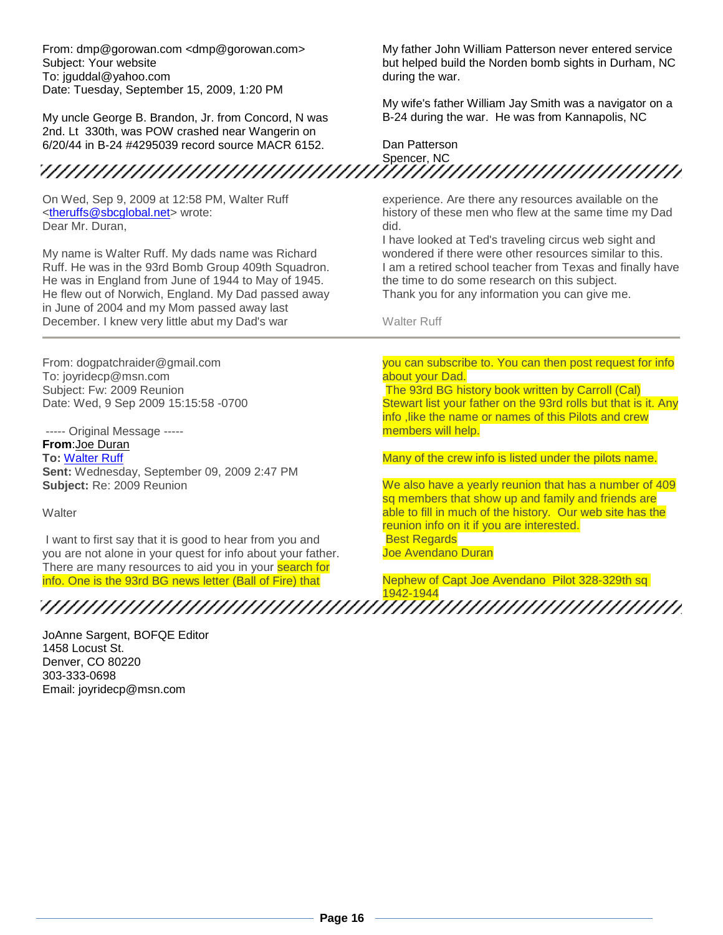From: dmp@gorowan.com <dmp@gorowan.com> Subject: Your website To: jguddal@yahoo.com Date: Tuesday, September 15, 2009, 1:20 PM

My uncle George B. Brandon, Jr. from Concord, N was 2nd. Lt 330th, was POW crashed near Wangerin on 6/20/44 in B-24 #4295039 record source MACR 6152.

On Wed, Sep 9, 2009 at 12:58 PM, Walter Ruff [<theruffs@sbcglobal.net>](mailto:theruffs@sbcglobal.net) wrote: Dear Mr. Duran,

My name is Walter Ruff. My dads name was Richard Ruff. He was in the 93rd Bomb Group 409th Squadron. He was in England from June of 1944 to May of 1945. He flew out of Norwich, England. My Dad passed away in June of 2004 and my Mom passed away last December. I knew very little abut my Dad's war

From: dogpatchraider@gmail.com To: joyridecp@msn.com Subject: Fw: 2009 Reunion Date: Wed, 9 Sep 2009 15:15:58 -0700

----- Original Message ----- **From**:Joe Duran **To:** [Walter Ruff](mailto:theruffs@sbcglobal.net) **Sent:** Wednesday, September 09, 2009 2:47 PM **Subject:** Re: 2009 Reunion

**Walter** 

I want to first say that it is good to hear from you and you are not alone in your quest for info about your father. There are many resources to aid you in your **search for** info. One is the 93rd BG news letter (Ball of Fire) that

My father John William Patterson never entered service but helped build the Norden bomb sights in Durham, NC during the war.

My wife's father William Jay Smith was a navigator on a B-24 during the war. He was from Kannapolis, NC

Dan Patterson  $\mu$ 

experience. Are there any resources available on the history of these men who flew at the same time my Dad did.

I have looked at Ted's traveling circus web sight and wondered if there were other resources similar to this. I am a retired school teacher from Texas and finally have the time to do some research on this subject. Thank you for any information you can give me.

Walter Ruff

#### you can subscribe to. You can then post request for info about your Dad.

The 93rd BG history book written by Carroll (Cal) Stewart list your father on the 93rd rolls but that is it. Any info ,like the name or names of this Pilots and crew members will help.

Many of the crew info is listed under the pilots name.

We also have a yearly reunion that has a number of 409 sq members that show up and family and friends are able to fill in much of the history. Our web site has the reunion info on it if you are interested. Best Regards Joe Avendano Duran

Nephew of Capt Joe Avendano Pilot 328-329th sq 1942-1944

JoAnne Sargent, BOFQE Editor 1458 Locust St. Denver, CO 80220 303-333-0698 Email: joyridecp@msn.com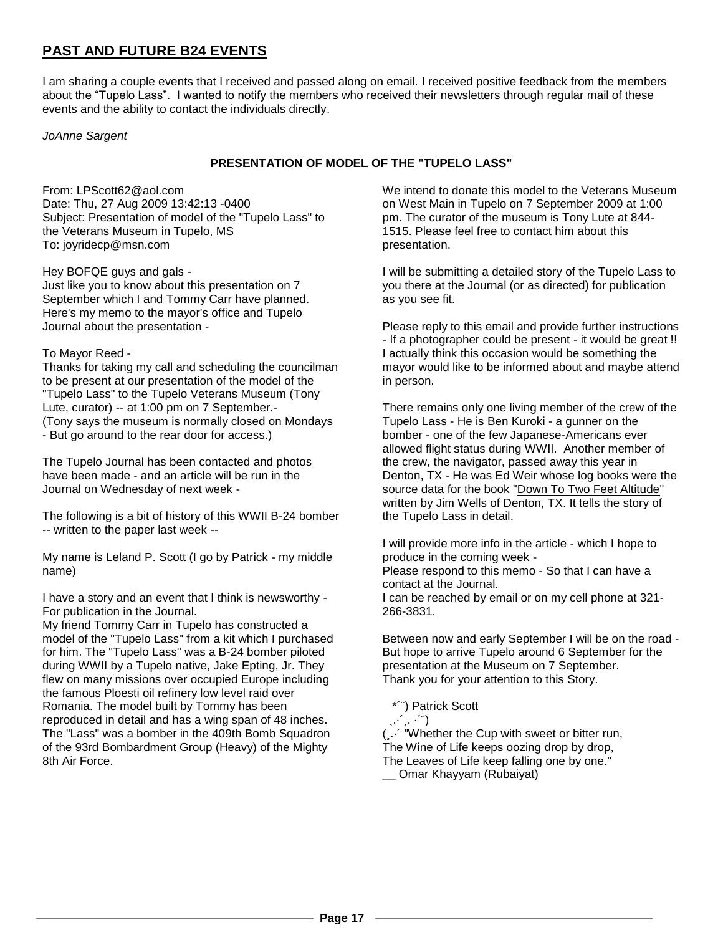### **PAST AND FUTURE B24 EVENTS**

I am sharing a couple events that I received and passed along on email. I received positive feedback from the members about the "Tupelo Lass". I wanted to notify the members who received their newsletters through regular mail of these events and the ability to contact the individuals directly.

*JoAnne Sargent*

### **PRESENTATION OF MODEL OF THE "TUPELO LASS"**

From: LPScott62@aol.com Date: Thu, 27 Aug 2009 13:42:13 -0400 Subject: Presentation of model of the "Tupelo Lass" to the Veterans Museum in Tupelo, MS To: joyridecp@msn.com

Hey BOFQE guys and gals - Just like you to know about this presentation on 7 September which I and Tommy Carr have planned. Here's my memo to the mayor's office and Tupelo Journal about the presentation -

### To Mayor Reed -

Thanks for taking my call and scheduling the councilman to be present at our presentation of the model of the "Tupelo Lass" to the Tupelo Veterans Museum (Tony Lute, curator) -- at 1:00 pm on 7 September.- (Tony says the museum is normally closed on Mondays - But go around to the rear door for access.)

The Tupelo Journal has been contacted and photos have been made - and an article will be run in the Journal on Wednesday of next week -

The following is a bit of history of this WWII B-24 bomber -- written to the paper last week --

My name is Leland P. Scott (I go by Patrick - my middle name)

I have a story and an event that I think is newsworthy - For publication in the Journal.

My friend Tommy Carr in Tupelo has constructed a model of the "Tupelo Lass" from a kit which I purchased for him. The "Tupelo Lass" was a B-24 bomber piloted during WWII by a Tupelo native, Jake Epting, Jr. They flew on many missions over occupied Europe including the famous Ploesti oil refinery low level raid over Romania. The model built by Tommy has been reproduced in detail and has a wing span of 48 inches. The "Lass" was a bomber in the 409th Bomb Squadron of the 93rd Bombardment Group (Heavy) of the Mighty 8th Air Force.

We intend to donate this model to the Veterans Museum on West Main in Tupelo on 7 September 2009 at 1:00 pm. The curator of the museum is Tony Lute at 844- 1515. Please feel free to contact him about this presentation.

I will be submitting a detailed story of the Tupelo Lass to you there at the Journal (or as directed) for publication as you see fit.

Please reply to this email and provide further instructions - If a photographer could be present - it would be great !! I actually think this occasion would be something the mayor would like to be informed about and maybe attend in person.

There remains only one living member of the crew of the Tupelo Lass - He is Ben Kuroki - a gunner on the bomber - one of the few Japanese-Americans ever allowed flight status during WWII. Another member of the crew, the navigator, passed away this year in Denton, TX - He was Ed Weir whose log books were the source data for the book "Down To Two Feet Altitude" written by Jim Wells of Denton, TX. It tells the story of the Tupelo Lass in detail.

I will provide more info in the article - which I hope to produce in the coming week - Please respond to this memo - So that I can have a contact at the Journal. I can be reached by email or on my cell phone at 321- 266-3831.

Between now and early September I will be on the road - But hope to arrive Tupelo around 6 September for the presentation at the Museum on 7 September. Thank you for your attention to this Story.

\*´¨) Patrick Scott

¸.·´¸. ·´¨) (¸.·´ "Whether the Cup with sweet or bitter run, The Wine of Life keeps oozing drop by drop, The Leaves of Life keep falling one by one." \_\_ Omar Khayyam (Rubaiyat)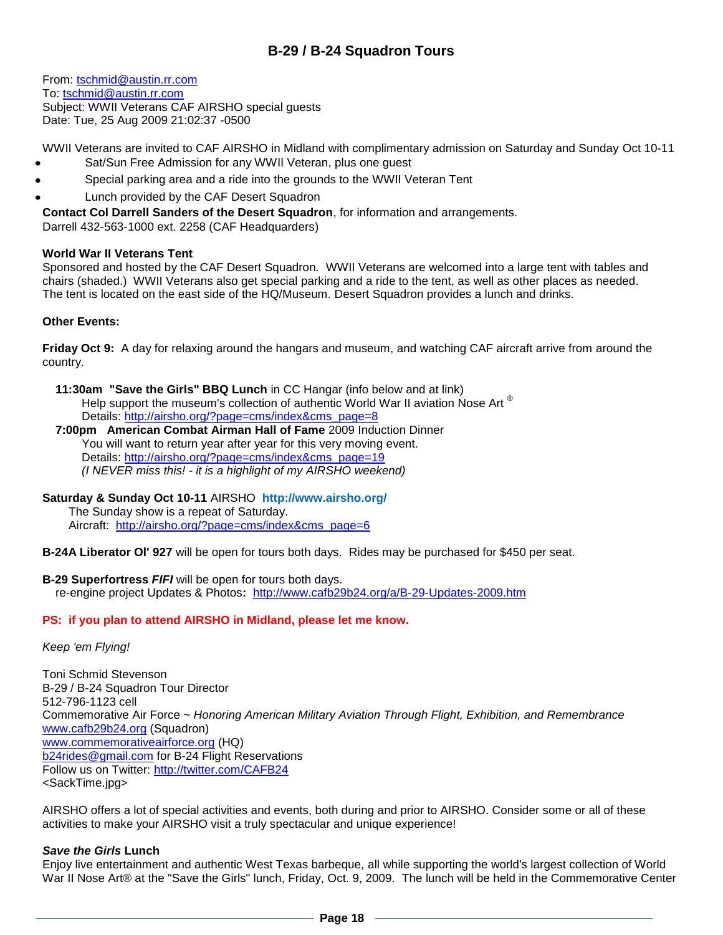### **B-29 / B-24 Squadron Tours**

From: [tschmid@austin.rr.com](mailto:tschmid@austin.rr.com) To: [tschmid@austin.rr.com](mailto:tschmid@austin.rr.com) Subject: WWII Veterans CAF AIRSHO special guests Date: Tue, 25 Aug 2009 21:02:37 -0500

WWII Veterans are invited to CAF AIRSHO in Midland with complimentary admission on Saturday and Sunday Oct 10-11

- Sat/Sun Free Admission for any WWII Veteran, plus one guest
- Special parking area and a ride into the grounds to the WWII Veteran Tent
- Lunch provided by the CAF Desert Squadron

**Contact Col Darrell Sanders of the Desert Squadron**, for information and arrangements.

Darrell 432-563-1000 ext. 2258 (CAF Headquarders)

### **World War II Veterans Tent**

Sponsored and hosted by the CAF Desert Squadron. WWII Veterans are welcomed into a large tent with tables and chairs (shaded.) WWII Veterans also get special parking and a ride to the tent, as well as other places as needed. The tent is located on the east side of the HQ/Museum. Desert Squadron provides a lunch and drinks.

### **Other Events:**

**Friday Oct 9:** A day for relaxing around the hangars and museum, and watching CAF aircraft arrive from around the country.

 **11:30am "Save the Girls" BBQ Lunch** in CC Hangar (info below and at link) Help support the museum's collection of authentic World War II aviation Nose Art ® Details: [http://airsho.org/?page=cms/index&cms\\_page=8](http://airsho.org/?page=cms/index&cms_page=8)

#### **7:00pm American Combat Airman Hall of Fame** 2009 Induction Dinner You will want to return year after year for this very moving event. Details: [http://airsho.org/?page=cms/index&cms\\_page=19](http://airsho.org/?page=cms/index&cms_page=19) *(I NEVER miss this! - it is a highlight of my AIRSHO weekend)*

**Saturday & Sunday Oct 10-11** AIRSHO **<http://www.airsho.org/>**

 The Sunday show is a repeat of Saturday. Aircraft: [http://airsho.org/?page=cms/index&cms\\_page=6](http://airsho.org/?page=cms/index&cms_page=6)

**B-24A Liberator Ol' 927** will be open for tours both days. Rides may be purchased for \$450 per seat.

**B-29 Superfortress** *FIFI* will be open for tours both days. re-engine project Updates & Photos**:** <http://www.cafb29b24.org/a/B-29-Updates-2009.htm>

### **PS: if you plan to attend AIRSHO in Midland, please let me know.**

### *Keep 'em Flying!*

Toni Schmid Stevenson B-29 / B-24 Squadron Tour Director 512-796-1123 cell Commemorative Air Force ~ *Honoring American Military Aviation Through Flight, Exhibition, and Remembrance* [www.cafb29b24.org](http://www.cafb29b24.org/) (Squadron) [www.commemorativeairforce.org](http://www.commemorativeairforce.org/) (HQ) b<sub>24</sub>rides@gmail.com</u> for B-24 Flight Reservations Follow us on Twitter: <http://twitter.com/CAFB24> <SackTime.jpg>

AIRSHO offers a lot of special activities and events, both during and prior to AIRSHO. Consider some or all of these activities to make your AIRSHO visit a truly spectacular and unique experience!

### *Save the Girls* **Lunch**

Enjoy live entertainment and authentic West Texas barbeque, all while supporting the world's largest collection of World War II Nose Art® at the "Save the Girls" lunch, Friday, Oct. 9, 2009. The lunch will be held in the Commemorative Center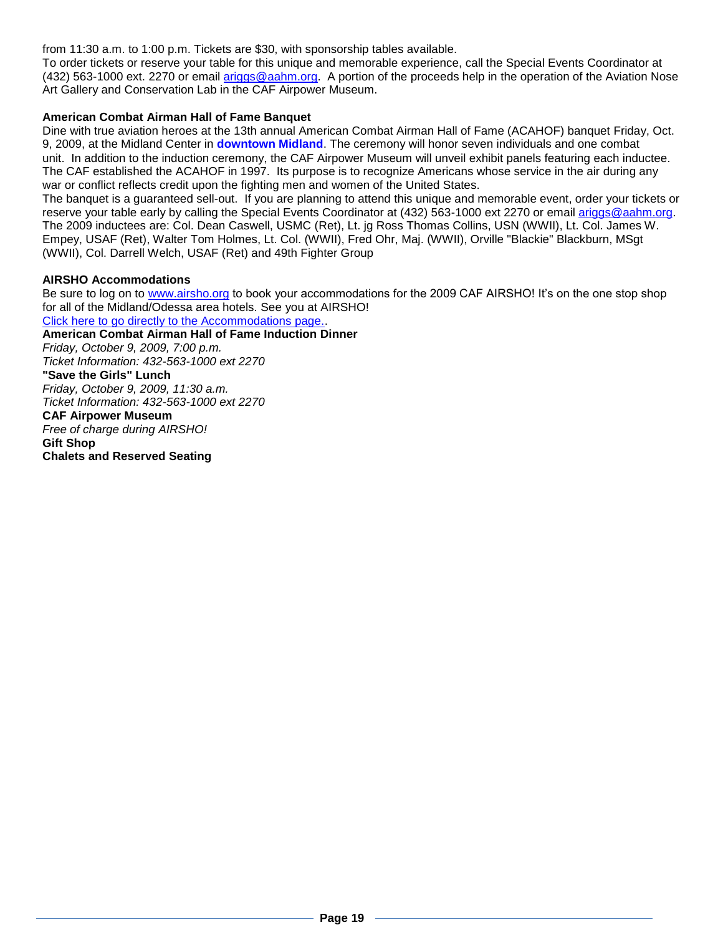from 11:30 a.m. to 1:00 p.m. Tickets are \$30, with sponsorship tables available.

To order tickets or reserve your table for this unique and memorable experience, call the Special Events Coordinator at (432) 563-1000 ext. 2270 or email [ariggs@aahm.org.](mailto:ariggs@aahm.org) A portion of the proceeds help in the operation of the Aviation Nose Art Gallery and Conservation Lab in the CAF Airpower Museum.

### **American Combat Airman Hall of Fame Banquet**

Dine with true aviation heroes at the 13th annual American Combat Airman Hall of Fame (ACAHOF) banquet Friday, Oct. 9, 2009, at the Midland Center in **downtown Midland**. The ceremony will honor seven individuals and one combat unit. In addition to the induction ceremony, the CAF Airpower Museum will unveil exhibit panels featuring each inductee. The CAF established the ACAHOF in 1997. Its purpose is to recognize Americans whose service in the air during any war or conflict reflects credit upon the fighting men and women of the United States.

The banquet is a guaranteed sell-out. If you are planning to attend this unique and memorable event, order your tickets or reserve your table early by calling the Special Events Coordinator at (432) 563-1000 ext 2270 or email [ariggs@aahm.org.](mailto:ariggs@aahm.org) The 2009 inductees are: Col. Dean Caswell, USMC (Ret), Lt. jg Ross Thomas Collins, USN (WWII), Lt. Col. James W. Empey, USAF (Ret), Walter Tom Holmes, Lt. Col. (WWII), Fred Ohr, Maj. (WWII), Orville "Blackie" Blackburn, MSgt (WWII), Col. Darrell Welch, USAF (Ret) and 49th Fighter Group

#### **AIRSHO Accommodations**

Be sure to log on to [www.airsho.org](https://dnbweb1.blackbaud.com/OPXREPHIL/Link.asp?link=383201) to book your accommodations for the 2009 CAF AIRSHO! It's on the one stop shop for all of the Midland/Odessa area hotels. See you at AIRSHO! [Click here to go directly to the Accommodations page..](https://dnbweb1.blackbaud.com/OPXREPHIL/Link.asp?link=383200).

**American Combat Airman Hall of Fame Induction Dinner** *Friday, October 9, 2009, 7:00 p.m. Ticket Information: 432-563-1000 ext 2270* **"Save the Girls" Lunch** *Friday, October 9, 2009, 11:30 a.m. Ticket Information: 432-563-1000 ext 2270* **CAF Airpower Museum** *Free of charge during AIRSHO!* **Gift Shop Chalets and Reserved Seating**